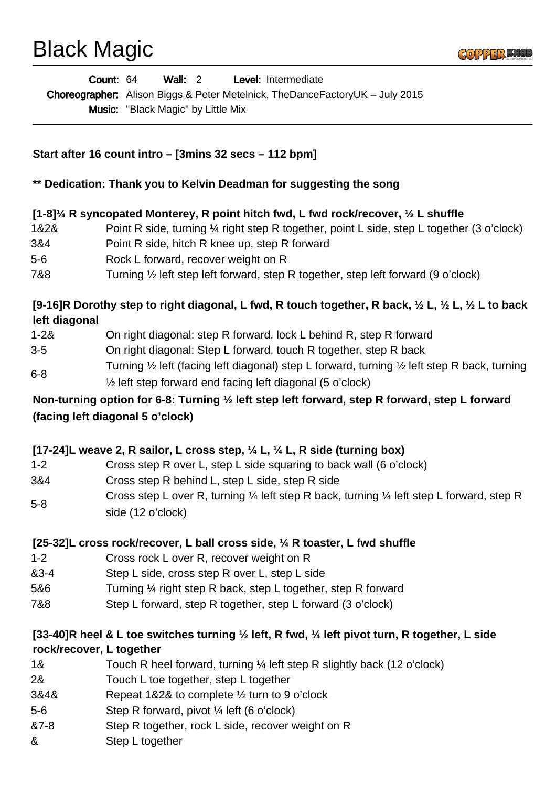# Black Magic



| Count: 64 | Wall: 2                                   |  | <b>Level:</b> Intermediate                                                          |
|-----------|-------------------------------------------|--|-------------------------------------------------------------------------------------|
|           |                                           |  | <b>Choreographer:</b> Alison Biggs & Peter Metelnick, TheDanceFactoryUK – July 2015 |
|           | <b>Music:</b> "Black Magic" by Little Mix |  |                                                                                     |

## **Start after 16 count intro – [3mins 32 secs – 112 bpm]**

#### **\*\* Dedication: Thank you to Kelvin Deadman for suggesting the song**

#### **[1-8]¼ R syncopated Monterey, R point hitch fwd, L fwd rock/recover, ½ L shuffle**

- 1&2& Point R side, turning ¼ right step R together, point L side, step L together (3 o'clock)
- 3&4 Point R side, hitch R knee up, step R forward
- 5-6 Rock L forward, recover weight on R
- 7&8 Turning ½ left step left forward, step R together, step left forward (9 o'clock)

## **[9-16]R Dorothy step to right diagonal, L fwd, R touch together, R back, ½ L, ½ L, ½ L to back left diagonal**

- 1-2& On right diagonal: step R forward, lock L behind R, step R forward
- 3-5 On right diagonal: Step L forward, touch R together, step R back
- 6-8 Turning ½ left (facing left diagonal) step L forward, turning ½ left step R back, turning ½ left step forward end facing left diagonal (5 o'clock)

# **Non-turning option for 6-8: Turning ½ left step left forward, step R forward, step L forward (facing left diagonal 5 o'clock)**

## **[17-24]L weave 2, R sailor, L cross step, ¼ L, ¼ L, R side (turning box)**

- 1-2 Cross step R over L, step L side squaring to back wall (6 o'clock)
- 3&4 Cross step R behind L, step L side, step R side
- 5-8 Cross step L over R, turning ¼ left step R back, turning ¼ left step L forward, step R side (12 o'clock)

## **[25-32]L cross rock/recover, L ball cross side, ¼ R toaster, L fwd shuffle**

- 1-2 Cross rock L over R, recover weight on R
- &3-4 Step L side, cross step R over L, step L side
- 5&6 Turning ¼ right step R back, step L together, step R forward
- 7&8 Step L forward, step R together, step L forward (3 o'clock)

## **[33-40]R heel & L toe switches turning ½ left, R fwd, ¼ left pivot turn, R together, L side rock/recover, L together**

- 1& Touch R heel forward, turning ¼ left step R slightly back (12 o'clock)
- 2& Touch L toe together, step L together
- 3&4& Repeat 1&2& to complete ½ turn to 9 o'clock
- 5-6 Step R forward, pivot ¼ left (6 o'clock)
- &7-8 Step R together, rock L side, recover weight on R
- & Step L together